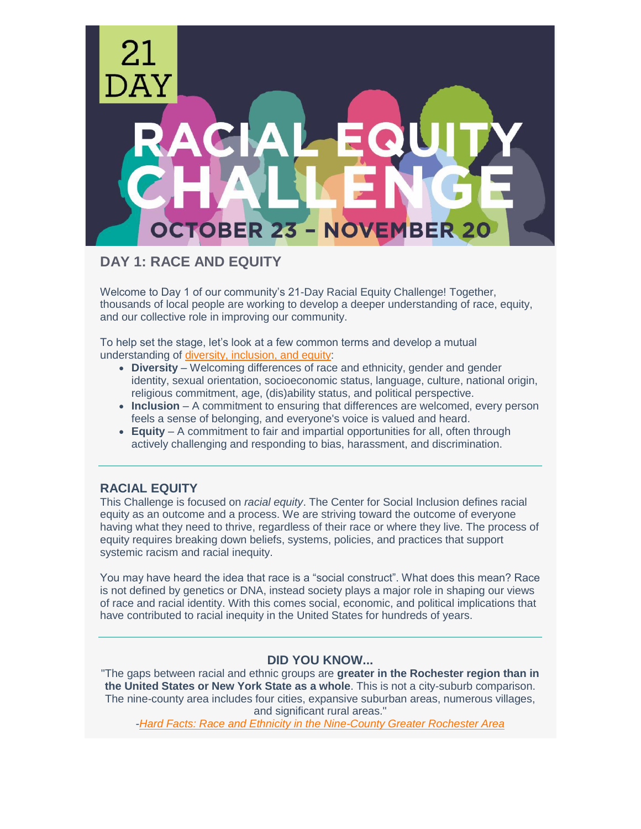

**DAY 1: RACE AND EQUITY**

Welcome to Day 1 of our community's 21-Day Racial Equity Challenge! Together, thousands of local people are working to develop a deeper understanding of race, equity, and our collective role in improving our community.

To help set the stage, let's look at a few common terms and develop a mutual understanding of [diversity, inclusion, and equity:](https://dei.extension.org/)

- **Diversity** Welcoming differences of race and ethnicity, gender and gender identity, sexual orientation, socioeconomic status, language, culture, national origin, religious commitment, age, (dis)ability status, and political perspective.
- **Inclusion** A commitment to ensuring that differences are welcomed, every person feels a sense of belonging, and everyone's voice is valued and heard.
- **Equity** A commitment to fair and impartial opportunities for all, often through actively challenging and responding to bias, harassment, and discrimination.

# **RACIAL EQUITY**

This Challenge is focused on *racial equity*. The Center for Social Inclusion defines racial equity as an outcome and a process. We are striving toward the outcome of everyone having what they need to thrive, regardless of their race or where they live. The process of equity requires breaking down beliefs, systems, policies, and practices that support systemic racism and racial inequity.

You may have heard the idea that race is a "social construct". What does this mean? Race is not defined by genetics or DNA, instead society plays a major role in shaping our views of race and racial identity. With this comes social, economic, and political implications that have contributed to racial inequity in the United States for hundreds of years.

## **DID YOU KNOW...**

"The gaps between racial and ethnic groups are **greater in the Rochester region than in the United States or New York State as a whole**. This is not a city-suburb comparison. The nine-county area includes four cities, expansive suburban areas, numerous villages, and significant rural areas."

*[-Hard Facts: Race and Ethnicity in the Nine-County Greater Rochester Area](https://www.actrochester.org/tinymce/source/Hard%20Facts%20-%20Race%20and%20Ethnicity%20in%20the%20Nine-County%20Area.pdf)*